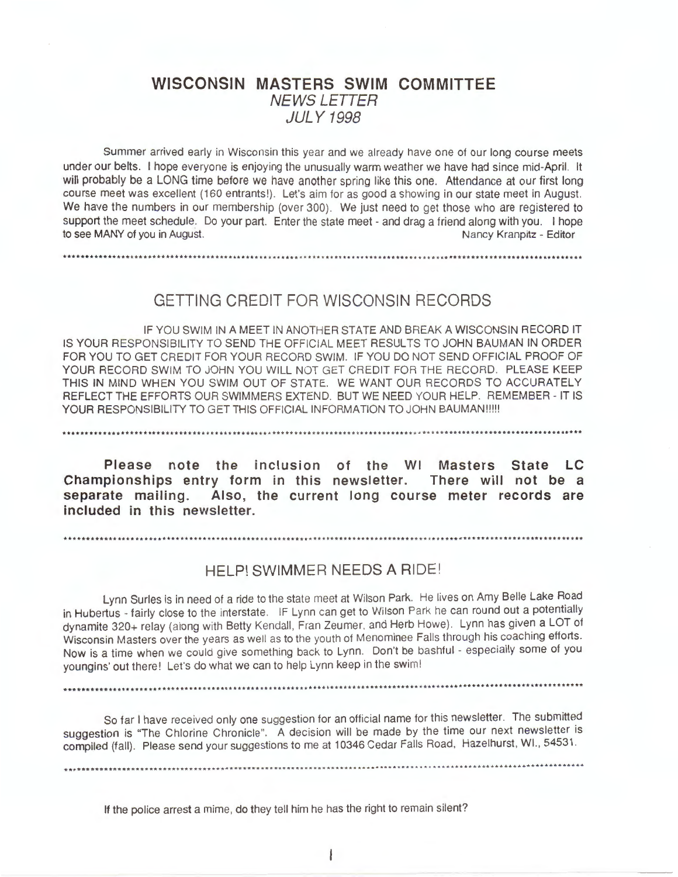# **WISCONSIN MASTERS SWIM COMMITTEE**  NEWSLETTER JULY 1998

Summer arrived early in Wisconsin this year and we already have one of our long course meets under our belts. I hope everyone is enjoying the unusually warm weather we have had since mid-April. It will probably be a LONG time before we have another spring like this one. Attendance at our first long course meet was excellent (160 entrants!). Let's aim for as good a showing in our state meet in August. We have the numbers in our membership (over 300). We just need to get those who are registered to support the meet schedule. Do your part. Enter the state meet - and drag a friend along with you. I hope to see MANY of you in August. Nancy Kranpitz - Editor

GETTING CREDIT FOR WISCONSIN RECORDS

IF YOU SWIM IN A MEET IN ANOTHER STATE AND BREAK A WISCONSIN RECORD IT IS YOUR RESPONSIBILITY TO SEND THE OFFICIAL MEET RESULTS TO JOHN BAUMAN IN ORDER FOR YOU TO GET CREDIT FOR YOUR RECORD SWIM. IF YOU DO NOT SEND OFFICIAL PROOF OF YOUR RECORD SWIM TO JOHN YOU WILL NOT GET CREDIT FOR THE RECORD. PLEASE KEEP THIS IN MIND WHEN YOU SWIM OUT OF STATE. WE WANT OUR RECORDS TO ACCURATELY REFLECT THE EFFORTS OUR SWIMMERS EXTEND. BUT WE NEED YOUR HELP. REMEMBER - IT IS YOUR RESPONSIBILITY TO GET THIS OFFICIAL INFORMATION TO JOHN BAUMAN!!!!!

**Please note the inclusion of the WI Masters State LC Championships entry form in this newsletter. There will not be a separate mailing. Also, the current long course meter records are**  included in this newsletter.

.••••••••••.•........•.....•...........••...........................••.•....•.........•............••••.......•.••.••

....••...............................................................................................................

# HELP! SWIMMER NEEDS A RIDE!

Lynn Surles is in need of a ride to the state meet at Wilson Park. He lives on Amy Belle Lake Road in Hubertus - fairly close to the interstate. IF Lynn can get to Wilson Park he can round out a potentially dynamite 320+ relay (along with Betty Kendall, Fran Zeumer, and Herb Howe). Lynn has given a LOT of Wisconsin Masters over the years as well as to the youth of Menominee Falls through his coaching efforts. Now is a time when we could give something back to Lynn. Don't be bashful - especially some of you youngins· out there! Let's do what we can to help Lynn keep in the swim!

...........................•...............•........•................................................................

So far I have received only one suggestion for an official name for this newsletter. The submitted suggestion is "The Chlorine Chronicle". A decision will be made by the time our next newsletter is compiled (fall). Please send your suggestions to me at 10346 Cedar Falls Road, Hazelhurst, WI., 54531.

If the police arrest a mime, do they tell him he has the right to remain silent?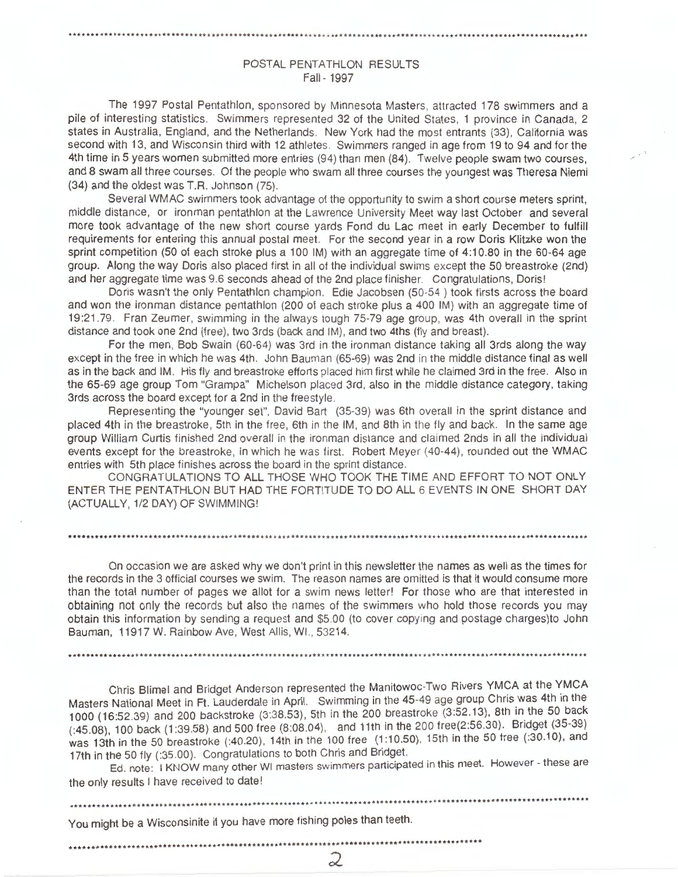# POSTAL PENTATHLON RESULTS Fall-1997

The 1997 Postal Pentathlon, sponsored by Minnesota Masters, attracted 178 swimmers and a pile of interesting statistics. Swimmers represented 32 of the United States, 1 province in Canada, 2 states in Australia, England, and the Netherlands. New York had the most entrants (33), California was second with 13, and Wisconsin third with 12 athletes. Swimmers ranged in age from 19 to 94 and for the 4th time in 5 years women submitted more entries (94) than men (84). Twelve people swam two courses, and 8 swam all three courses. Of the people who swam all three courses the youngest was Theresa Niemi (34) and the oldest was T.R. Johnson (75).

Several WMAC swimmers took advantage of the opportunity to swim a short course meters sprint, middle distance, or ironman pentathlon at the Lawrence University Meet way last October and several more took advantage of the new short course yards Fond du Lac meet in early December to fulfill requirements for entering this annual postal meet. For the second year in a row Doris Klitzke won the sprint competition (50 of each stroke plus a 100 IM) with an aggregate time of 4:10.80 in the 60-64 age group. Along the way Doris also placed first in all of the individual swims except the 50 breastroke (2nd) and her aggregate time was 9.6 seconds ahead of the 2nd place finisher. Congratulations, Doris!

Doris wasn't the only Pentathlon champion . Edie Jacobsen (50-54 ) took firsts across the board and won the ironman distance pentathlon (200 of each stroke plus a 400 IM) with an aggregate time of 19 :21 .79 . Fran Zeumer, swimming in the always tough 75-79 age group, was 4th overall in the sprint distance and took one 2nd (free), two 3rds (back and IM), and two 4ths (fly and breast).

For the men, Bob Swain (60-64) was 3rd in the ironman distance taking all 3rds along the way except in the free in which he was 4th. John Bauman (65-69) was 2nd in the middle distance final as well as in the back and IM. His fly and breastroke efforts placed him first while he claimed 3rd in the free. Also in the 65-69 age group Tom "Grampa" Michelson placed 3rd, also in the middle distance category, taking 3rds across the board except for a 2nd in the freestyle .

Representing the "younger set", David Bart (35-39) was 6th ove rall in the sprint distance and placed 4th in the breastroke, 5th in the free, 6th in the IM, and 8th in the fly and back. In the same age group William Curtis finished 2nd overall in the ironman distance and claimed 2nds in all the individual events except for the breastroke, in which he was first. Robert Meyer (40-44), rounded out the WMAC entries with 5th place finishes across the board in the sprint distance.

CONGRATULATIONS TO ALL THOSE WHO TOOK THE TIME AND EFFORT TO NOT ONLY ENTER THE PENTATHLON BUT HAD THE FORTITUDE TO DO ALL 6 EVENTS IN ONE SHORT DAY (ACTUALLY, 1/2 DAY) OF SWIMMING!

# \*••··················································································································

On occasion we are asked why we don't print in this newsletter the names as well as the times for the records in the 3 official courses we swim. The reason names are omitted is that it would consume more than the total number of pages we allot for a swim news letter! For those who are that interested in obtaining not only the records but also the names of the swimmers who hold those records you may obtain this information by sending a request and \$5.00 (to cover copying and postage charges)to John Bauman, 11917 W. Rainbow Ave, West Allis, WI., 53214.

\*\*\*\*\*\*\*\*\*\*\*\*\*\*\*\*\*\*\*\*\*\*\*\*\*\*\*\*\*\*\*\*\*\*\*\*\*\*\*\*\*\*\*\* \*\*\* \*\*\*\*\*\* \*\*\*\*\* \*\*\*\*••················ · ····································

Chris Blimel and Bridget Anderson represented the Manitowoc-Two Rivers YMCA at the YMCA Masters National Meet in Ft. Lauderdale in April. Swimming in the 45-49 age group Chris was 4th in the 1000 (16:52.39) and 200 backstroke (3 :38.53), 5th in the 200 breastroke (3:52.13), 8th in\_the 50 back  $(.45.08)$ , 100 back  $(1:39.58)$  and 500 free  $(8:08.04)$ , and 11th in the 200 free $(2:56.30)$ . Bridget  $(35-39)$ was 13th in the 50 breastroke (:40.20), 14th in the 100 free (1:10.50), 15th in the 50 free (.30.10), and 17th in the 50 fly (:35.00). Congratulations to both Chris and Bridget.

Ed. note: I KNOW many other WI masters swimmers participated in this meet. However - these are the only results I have received to date!

\*\*\*\*\*\*\*\*\*\*\*\*\*\*\*\*\*\*\*\*\*\*\*\*\*\*\*\*\*\*\*\*\*\*\*\*\*\*\*\*\*\*\*\*\*\*\*\*\*\*\*\*\*\*\*\*\*\*\*\*\*\*•······························

2

\*\*\*\*\*\*\*\*\*\*\*\*\*\*\*\*\*\*\*\*\*\*\*\*\*\*\*\*\*\*\*\*\*\*\*\*\*\*\*•········~····································································

You might be a Wisconsinite if you have more fishing poles than teeth.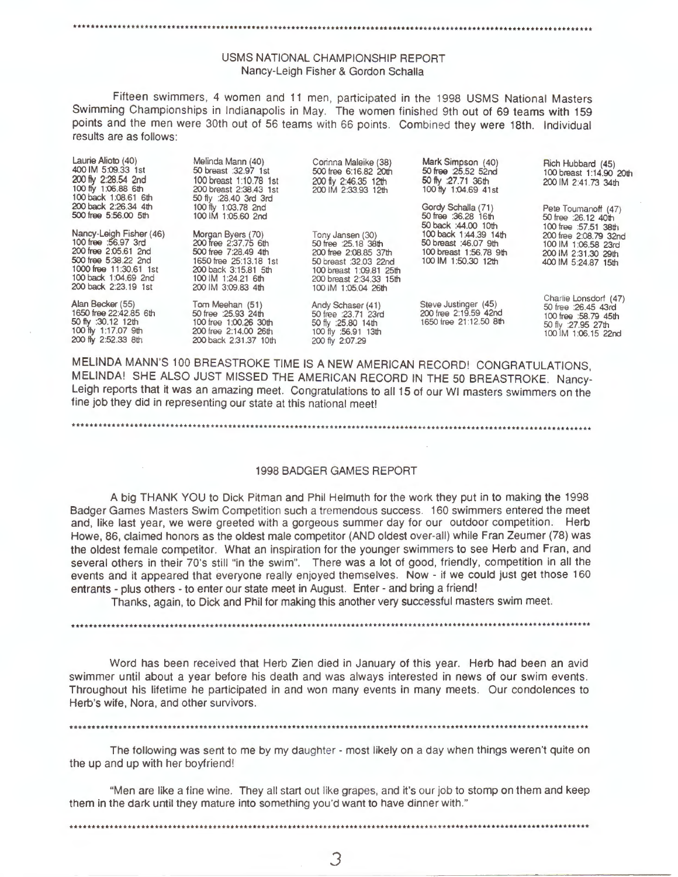# \*\*\*\*\*\*\*\*\*\*\*\*\*\*\*\*\*\*\*\*\*\*\*\*\*\*\*\*\*\*\* \*\*\*\*\*\*\*\*\*\*\*\*\* \*\*\*\*\*\*\*\*\*\*\*\*\*\*\* \*\*\*\*\*\*\*\*\*\*\*\*\*\*\*\*\*\*\*\*\*\*\* \*\* \*\*\*\*\*\*\*\*\*\*\*\*\*\*\*\*\*\*\*\*\*\*\*\*\*\*\*\*\*\*\*\*\*

# USMS NATIONAL CHAMPIONSHIP REPORT Nancy-Leigh Fisher & Gordon Schalla

Fifteen swimmers, 4 women and 11 men, participated in the 1998 USMS National Masters Swimming Championships in Indianapolis in May. The women finished 9th out of 69 teams with 159 points and the men were 30th out of 56 teams with 66 points. Combined they were 18th. Individual results are as follows:

| Laurie Alioto (40)<br>400 IM 5:09.33 1st<br>200 fly 2:28.54 2nd<br>100 fly 1:06.88 6th<br>100 back 1:08.61 6th                                                           | Melinda Mann (40)<br>50 breast :32.97 1st<br>100 breast 1:10.78 1st<br>200 breast 2:38.43 1st<br>50 fly : 28.40 3rd 3rd                                         | Corinna Maleike (38)<br>500 free 6:16.82 20th<br>200 fly 2:46.35 12th<br>200 IM 2:33.93 12th                                                                            | Mark Simpson (40)<br>50 free 25.52 52nd<br>50 fly :27.71 36th<br>100 fly 1:04.69 41st           | Rich Hubbard (45)<br>100 breast 1:14.90 20th<br>200 IM 2:41.73 34th                                               |
|--------------------------------------------------------------------------------------------------------------------------------------------------------------------------|-----------------------------------------------------------------------------------------------------------------------------------------------------------------|-------------------------------------------------------------------------------------------------------------------------------------------------------------------------|-------------------------------------------------------------------------------------------------|-------------------------------------------------------------------------------------------------------------------|
| 200 back 2:26.34 4th<br>500 free 5:56.00 5th                                                                                                                             | 100 fly 1:03.78 2nd<br>100 IM 1:05.60 2nd                                                                                                                       |                                                                                                                                                                         | Gordy Schalla (71)<br>50 free :36.28 16th<br>50 back :44.00 10th                                | Pete Toumanoff (47)<br>50 free : 26.12 40th<br>100 free :57.51 38th                                               |
| Nancy-Leigh Fisher (46)<br>100 free :56.97 3rd<br>200 free 2:05.61 2nd<br>500 free 5:38.22 2nd<br>1000 free 11:30.61 1st<br>100 back 1:04.69 2nd<br>200 back 2:23.19 1st | Morgan Byers (70)<br>200 free 2:37.75 6th<br>500 free 7:28.49 4th<br>1650 free 25:13.18 1st<br>200 back 3:15.81 5th<br>100 IM 1:24.21 6th<br>200 IM 3:09.83 4th | Tony Jansen (30)<br>50 free : 25.18 38th<br>200 free 2:08.85 37th<br>50 breast :32.03 22nd<br>100 breast 1:09.81 25th<br>200 breast 2:34.33 15th<br>100 IM 1:05.04 26th | 100 back 1:44.39 14th<br>50 breast : 46.07 9th<br>100 breast 1:56.78 9th<br>100 IM 1:50.30 12th | 200 free 2:08.79 32nd<br>100 IM 1:06.58 23rd<br>200 IM 2:31.30 29th<br>400 IM 5:24.87 15th                        |
| Alan Becker (55)<br>1650 free 22:42.85 6th<br>50 fly :30.12 12th<br>100 fly 1:17.07 9th<br>200 fly 2:52.33 8th                                                           | Tom Meehan (51)<br>50 free : 25.93 24th<br>100 free 1:00.26 30th<br>200 free 2:14.00 26th<br>200 back 2:31.37 10th                                              | Andy Schaser (41)<br>50 free : 23.71 23rd<br>50 fly : 25.80 14th<br>100 fly :56.91 13th<br>200 fly 2:07.29                                                              | Steve Justinger (45)<br>200 free 2:19.59 42nd<br>1650 free 21:12.50 8th                         | Charlie Lonsdorf (47)<br>50 free : 26.45 43rd<br>100 free :58.79 45th<br>50 fly :27.95 27th<br>100 M 1:06.15 22nd |

MELINDA MANN'S 100 BREASTROKE TIME IS A NEW AMERICAN RECORD! CONGRATULATIONS, MELINDA! SHE ALSO JUST MISSED THE AMERICAN RECORD IN THE 50 BREASTROKE. Nancy-Leigh reports that it was an amazing meet. Congratulations to all 15 of our WI masters swimmers on the fine job they did in representing our state at this national meet!

•••••••••••.•••••••••••••••...•....................•......................••..........................••.....••••....

# 1998 BADGER GAMES REPORT

A big THANK YOU to Dick Pitman and Phil Helmuth for the work they put in to making the 1998 Badger Games Masters Swim Competition such a tremendous success 160 swimmers entered the meet and, like last year, we were greeted with a gorgeous summer day for our outdoor competition. Herb Howe, 86, claimed honors as the oldest male competitor (AND oldest over-all) while Fran Zeumer (78) was the oldest female competitor. What an inspiration for the younger swimmers to see Herb and Fran, and several others in their ?O's still "in the swim". There was a lot of good, friendly, competition in all the events and it appeared that everyone really enjoyed themselves. Now - if we could just get those 160 entrants - plus others - to enter our state meet in August. Enter - and bring a friend!

Thanks, again, to Dick and Phil for making this another very successful masters swim meet.

\*\*\*\*\*\*\*\*\*\*\*\*\*\*\*\*\*\*\*\*\*\*\*\*\*\*\*\*\*\*\*\*\*\*\*\*\*\*\*\*\*\*\*\*\*\*\*\*\*\*\*\*\*\*\*\*\*\*\*\*\*\*\*\*\*\*\*\*\*\*\*\*\*\*\*\*\*\*\*\*\*\*\*\*\*\*\*\*\*\*\*\*\*\*\*\*\*\*\*\*\*\*\*\*\*\*••·········

Word has been received that Herb Zien died in January of this year. Herb had been an avid swimmer until about a year before his death and was always interested in news of our swim events . Throughout his lifetime he participated in and won many events in many meets. Our condolences to Herb's wife, Nora, and other survivors.

.....................................................................................................................

The following was sent to me by my daughter - most likely on a day when things weren't quite on the up and up with her boyfriend!

"Men are like a fine wine. They all start out like grapes, and it's our job to stomp on them and keep them in the dark until they mature into something you'd want to have dinner with."

•••••••••••••••••••••••••••••••••••••••••••••••••••••••••••••••••••••••••••••••••••••••••••••••••••••••••••••••••••••

J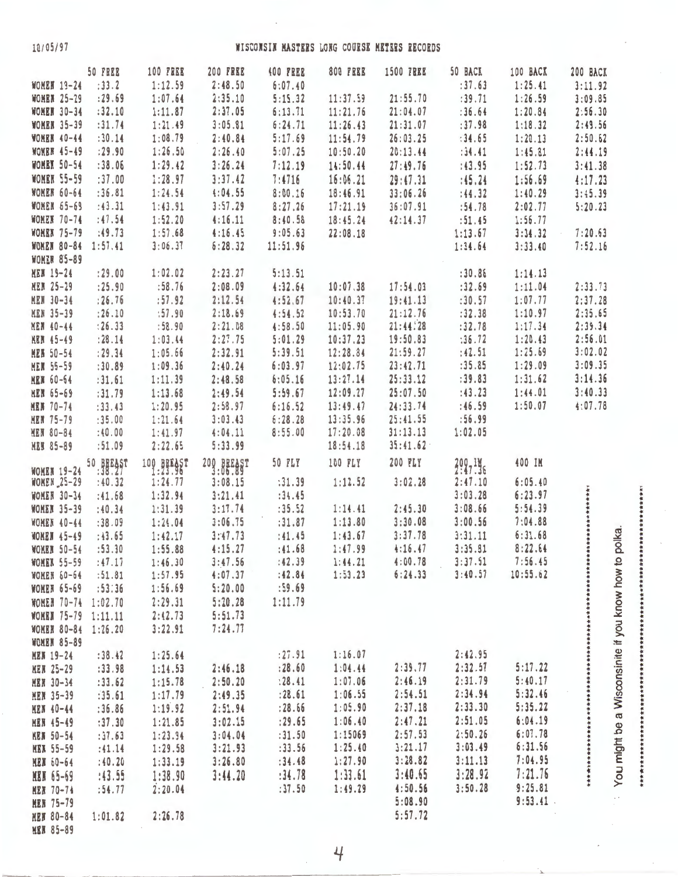10/05/97

# WISCONSIN MASTERS LONG COURSE METERS RECORDS

|                    | 50 FREE   | <b>100 FREE</b> | <b>200 FREE</b> | <b>400 FREE</b> | <b>800 FREE</b> | <b>1500 FREE</b> | 50 BACK | 100 BACK    | 200 BACK                                                                                |
|--------------------|-----------|-----------------|-----------------|-----------------|-----------------|------------------|---------|-------------|-----------------------------------------------------------------------------------------|
| <b>WOMEN 19-24</b> | : 33.2    | 1:12.59         | 2:48.50         | 6:07.40         |                 |                  | :37.63  | 1:25.41     | 3:11.92                                                                                 |
| <b>WOMEN 25-29</b> | : 29.69   | 1:07.64         | 2:35.10         | 5:15.32         | 11:37.59        | 21:55.70         | : 39.71 | 1:26.59     | 3:09.85                                                                                 |
| <b>WOMER 30-34</b> | :32.10    | 1:11.87         | 2:37.05         | 6:13.71         | 11:21.76        | 21:04.07         | : 36.64 | 1:20.84     | 2:56.30                                                                                 |
| <b>WOMEN 35-39</b> | : 31.74   | 1:21.49         | 3:05.81         | 6:24.71         | 11:26.43        | 21:31.07         | :37.98  | 1:18.32     | 2:49.56                                                                                 |
| <b>WOMER 40-44</b> | :30.14    | 1:08.79         | 2:40.84         | 5:17.69         | 11:54.79        | 26:03.25         | : 34.65 | 1:20.13     | 2:50.62                                                                                 |
| <b>WOMER 45-49</b> | : 29.90   | 1:26.50         | 2:26.40         | 5:07.25         | 10:50.20        | 20:13.44         | :34.41  | 1:45.81     | 2:44.19                                                                                 |
| <b>WOMEN 50-54</b> | : 38.06   | 1:29.42         | 3:26.24         | 7:12.19         | 14:50.44        | 27:49.76         | :43.95  | 1:52.73     | 3:41.38                                                                                 |
|                    |           |                 |                 |                 |                 |                  |         |             |                                                                                         |
| <b>WOMER 55-59</b> | :37.00    | 1:28.97         | 3:37.42         | 7:4716          | 16:06.21        | 29:47.31         | : 45.24 | 1:56.69     | 4:17.23                                                                                 |
| <b>WOMER 60-64</b> | :36.81    | 1:24.54         | 4:04.55         | 8:00.16         | 18:46.91        | 33:06.26         | : 44.32 | 1:40.29     | 3:45.39                                                                                 |
| <b>WOMEN 65-69</b> | : 43.31   | 1:43.91         | 3:57.29         | 8:27.26         | 17:21.19        | 36:07.91         | :54.78  | 2:02.77     | 5:20.23                                                                                 |
| <b>WOMEN 70-74</b> | : 47.54   | 1:52.20         | 4:16.11         | 8:40.58         | 18:45.24        | 42:14.37         | :51.45  | 1:56.77     |                                                                                         |
| <b>WOMEN 75-79</b> | :49.73    | 1:57.68         | 4:16.45         | 9:05.63         | 22:08.18        |                  | 1:13.67 | 3:34.32     | 7:20.63                                                                                 |
| <b>WONEN 80-84</b> | 1:57.41   | 3:06.37         | 6:28.32         | 11:51.96        |                 |                  | 1:34.64 | 3:33.40     | 7:52.16                                                                                 |
| <b>WOMER 85-89</b> |           |                 |                 |                 |                 |                  |         |             |                                                                                         |
| <b>MEN 19-24</b>   | : 29.00   | 1:02.02         | 2:23.27         | 5:13.51         |                 |                  | : 30.86 | 1:14.13     |                                                                                         |
| <b>MEN 25-29</b>   | : 25.90   | :58.76          | 2:08.09         | 4:32.64         | 10:07.38        | 17:54.03         | :32.69  | 1:11.04     | 2:33.73                                                                                 |
|                    |           | :57.92          | 2:12.54         |                 | 10:40.37        | 19:41.13         | :30.57  | 1:07.77     | 2:37.28                                                                                 |
| <b>MEN 30-34</b>   | : 26.76   |                 |                 | 4:52.67         |                 |                  |         |             | 2:35.65                                                                                 |
| <b>MEN 35-39</b>   | : 26.10   | :57.90          | 2:18.69         | 4:54.52         | 10:53.70        | 21:12.76         | :32.38  | 1:10.97     |                                                                                         |
| MEN 40-44          | : 26.33   | :58.90          | 2:21.08         | 4:58.50         | 11:05.90        | 21:44:28         | :32.78  | 1:17.34     | 2:39.34                                                                                 |
| <b>MEN 45-49</b>   | : 28.14   | 1:03.44         | 2:27.75         | 5:01.29         | 10:37.23        | 19:50.83         | :36.72  | 1:20.43     | 2:56.01                                                                                 |
| <b>MEN 50-54</b>   | : 29.34   | 1:05.66         | 2:32.91         | 5:39.51         | 12:28.84        | 21:59.27         | :42.51  | 1:25.69     | 3:02.02                                                                                 |
| <b>MEN 55-59</b>   | :30.89    | 1:09.36         | 2:40.24         | 6:03.97         | 12:02.75        | 23:42.71         | :35.85  | 1:29.09     | 3:09.35                                                                                 |
| <b>MEN 60-64</b>   | :31.61    | 1:11.39         | 2:48.58         | 6:05.16         | 13:27.14        | 25:33.12         | : 39.83 | 1:31.62     | 3:14.36                                                                                 |
| MEN 65-69          | :31.79    | 1:13.68         | 2:49.54         | 5:59.67         | 12:09.27        | 25:07.50         | : 43.23 | 1:44.01     | 3:40.33                                                                                 |
| <b>MEN 70-74</b>   | : 33.43   | 1:20.95         | 2:58.97         | 6:16.52         | 13:49.47        | 24:33.74         | :46.59  | 1:50.07     | 4:07.78                                                                                 |
| <b>MEN 75-79</b>   | :35.00    | 1:21.64         | 3:03.43         | 6:28.28         | 13:35.96        | 25:41.55         | :56.99  |             |                                                                                         |
| <b>MEN 80-84</b>   | :40.00    | 1:41.97         | 4:04.11         | 8:55.00         | 17:20.08        | 31:13.13         | 1:02.05 |             |                                                                                         |
| <b>MEN 85-89</b>   | :51.09    | 2:22.65         | 5:33.99         |                 | 18:54.18        | 35:41.62         |         |             |                                                                                         |
|                    |           |                 |                 |                 |                 |                  |         |             |                                                                                         |
| <b>WOMEN 19-24</b> | 50 BREAST | 100 BREAST      | 200 BEEAST      | <b>50 FLY</b>   | 100 FLY         | 200 FLY          | 200,146 | 400 IM      |                                                                                         |
| <b>WONEN 25-29</b> | :40.32    | 1:24.77         | 3:08.15         | : 31.39         | 1:12.52         | 3:02.28          | 2:47.10 | 6:05.40     |                                                                                         |
| WOMER 30-34        | :41.68    | 1:32.94         | 3:21.41         | :34.45          |                 |                  | 3:03.28 | 6:23.97     |                                                                                         |
| <b>WOMER 35-39</b> | : 40.34   | 1:31.39         | 3:17.74         | : 35.52         | 1:14.41         | 2:45.30          | 3:08.66 | 5:54.39     |                                                                                         |
|                    |           |                 |                 |                 |                 |                  | 3:00.56 | 7:04.88     |                                                                                         |
| <b>WOMEN 40-44</b> | :38.09    | 1:24.04         | 3:06.75         | : 31.87         | 1:13.80         | 3:30.08          |         |             | 一般在在在在水中在在在在在在在在                                                                        |
| <b>WOMEN 45-49</b> | :43.65    | 1:42.17         | 3:47.73         | :41.45          | 1:43.67         | 3:37.78          | 3:31.11 | 6:31.68     | polka.                                                                                  |
| <b>WOMER 50-54</b> | :53.30    | 1:55.88         | 4:15.27         | : 41.68         | 1:47.99         | 4:16.47          | 3:35.81 | 8:22.64     |                                                                                         |
| <b>WOMER 55-59</b> | :47.17    | 1:46.30         | 3:47.56         | :42.39          | 1:44.21         | 4:00.78          | 3:37.51 | 7:56.45     |                                                                                         |
| <b>WOMEN 60-64</b> | :51.81    | 1:57.95         | 4:07.37         | :42.84          | 1:53.23         | 6:24.33          | 3:40.57 | 10:55.62    |                                                                                         |
| <b>WOMEN 65-69</b> | :53:36    | 1:56.69         | 5:20.00         | :59.69          |                 |                  |         |             |                                                                                         |
| WOMEN 70-74        | 1:02.70   | 2:29.31         | 5:20.28         | 1:11.79         |                 |                  |         |             |                                                                                         |
| <b>WOMEN 75-79</b> | 1:11.11   | 2:42.73         | 5:51.73         |                 |                 |                  |         |             |                                                                                         |
| <b>MOMEN 80-84</b> | 1:26.20   | 3:22.91         | 7:24.77         |                 |                 |                  |         |             |                                                                                         |
| <b>WOMEN 85-89</b> |           |                 |                 |                 |                 |                  |         |             |                                                                                         |
| <b>MEN 19-24</b>   | : 38.42   | 1:25.64         |                 | : 27.91         | 1:16.07         |                  | 2:42.95 |             |                                                                                         |
| <b>MEN 25-29</b>   | :33.98    | 1:14.53         | 2:46.18         | : 28.60         | 1:04.44         | 2:39.77          | 2:32.57 | 5:17.22     |                                                                                         |
|                    |           |                 | 2:50.20         | : 28.41         | 1:07.06         | 2:46.19          | 2:31.79 | 5:40.17     |                                                                                         |
| <b>MEN 30-34</b>   | : 33.62   | 1:15.78         |                 |                 |                 | 2:54.51          | 2:34.94 | 5:32.46     |                                                                                         |
| <b>MEN 35-39</b>   | :35.61    | 1:17.79         | 2:49.35         | : 28.61         | 1:06.55         |                  |         | 5:35.22     | You might be a Wisconsinite if you know how to<br>************************************* |
| <b>HEN 40-44</b>   | : 36.86   | 1:19.92         | 2:51.94         | : 28.66         | 1:05.90         | 2:37.18          | 2:33.30 |             |                                                                                         |
| <b>MEN 45-49</b>   | :37.30    | 1:21.85         | 3:02.15         | : 29.65         | 1:06.40         | 2:47.21          | 2:51.05 | 6:04.19     |                                                                                         |
| <b>HEN 50-54</b>   | :37.63    | 1:23.94         | 3:04.04         | :31.50          | 1:15069         | 2:57.53          | 2:50.26 | 6:07.78     |                                                                                         |
| <b>MEN 55-59</b>   | :41.14    | 1:29.58         | 3:21.93         | :33.56          | 1:25.40         | 3:21.17          | 3:03.49 | 6:31.56     |                                                                                         |
| <b>HEN</b> 60-64   | :40.20    | 1:33.19         | 3:26.80         | :34.48          | 1:27.90         | 3:28.82          | 3:11.13 | 7:04.95     |                                                                                         |
| <b>MEN 65-69</b>   | :43.55    | 1:38.90         | 3:44.20         | :34.78          | 1:33.61         | 3:40.65          | 3:28.92 | 7:21.76     |                                                                                         |
| <b>MEN 70-74</b>   | : 54.77   | 2:20.04         |                 | :37.50          | 1:49.29         | 4:50.56          | 3:50.28 | 9:25.81     |                                                                                         |
| <b>MEN 75-79</b>   |           |                 |                 |                 |                 | 5:08.90          |         | $9:53.41$ . |                                                                                         |
| <b>MEN 80-84</b>   | 1:01.82   | 2:26.78         |                 |                 |                 | 5:57.72          |         |             |                                                                                         |
|                    |           |                 |                 |                 |                 |                  |         |             |                                                                                         |
| <b>MEN 85-89</b>   |           |                 |                 |                 |                 |                  |         |             |                                                                                         |

 $\overline{4}$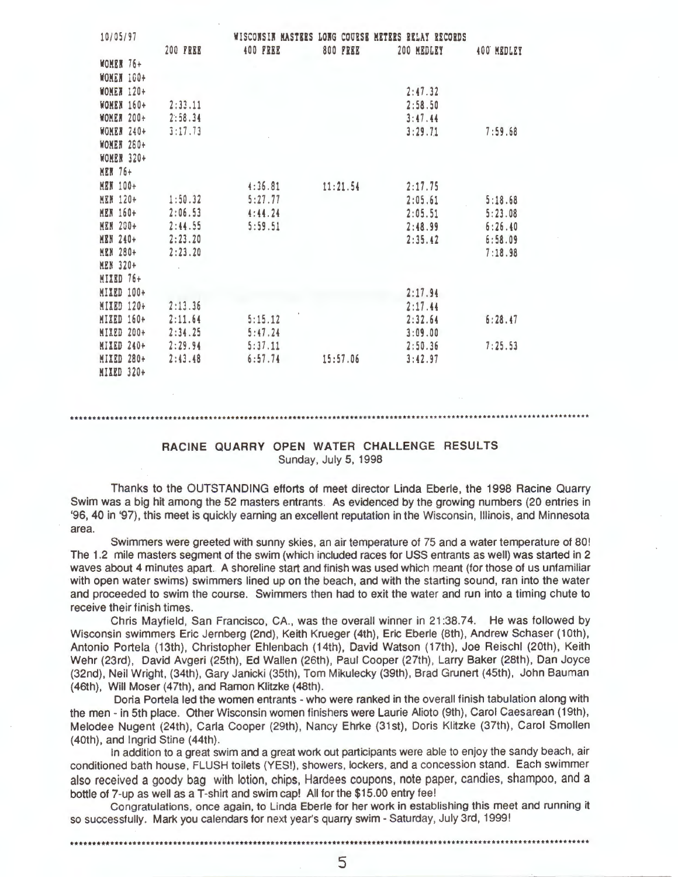| 10/05/97          |                 |                 |                 | WISCONSIN MASTERS LONG COURSE METERS RELAY RECORDS |            |
|-------------------|-----------------|-----------------|-----------------|----------------------------------------------------|------------|
|                   | <b>200 FREE</b> | <b>400 FREE</b> | <b>800 FREE</b> | 200 MEDLEY                                         | 400 MEDLEY |
| WOMEN 76+         |                 |                 |                 |                                                    |            |
| <b>WOMEN 100+</b> |                 |                 |                 |                                                    |            |
| <b>WOMEN 120+</b> |                 |                 |                 | 2:47.32                                            |            |
| <b>WOMEN 160+</b> | 2:33.11         |                 |                 | 2:58.50                                            |            |
| <b>WOMER 200+</b> | 2:58.34         |                 |                 | 3:47.44                                            |            |
| WOMER 240+        | 3:17.73         |                 |                 | 3:29.71                                            | 7:59.68    |
| <b>WOMEN 280+</b> |                 |                 |                 |                                                    |            |
| WOMEN 320+        |                 |                 |                 |                                                    |            |
| <b>MEN 76+</b>    |                 |                 |                 |                                                    |            |
| <b>MEN 100+</b>   |                 | 4:36.81         | 11:21.54        | 2:17.75                                            |            |
| <b>MEN 120+</b>   | 1:50.32         | 5:27.77         |                 | 2:05.61                                            | 5:18.68    |
| <b>MEN 160+</b>   | 2:06.53         | 4:44.24         |                 | 2:05.51                                            | 5:23.08    |
| <b>MEN 200+</b>   | 2:44.55         | 5:59.51         |                 | 2:48.99                                            | 6:26.40    |
| <b>MEN 240+</b>   | 2:23.20         |                 |                 | 2:35.42                                            | 6:58.09    |
| <b>MEN 280+</b>   | 2:23.20         |                 |                 |                                                    | 7:18.98    |
| <b>MEN 320+</b>   |                 |                 |                 |                                                    |            |
| MIXED 76+         |                 |                 |                 |                                                    |            |
| MIXED 100+        |                 |                 |                 | 2:17.94                                            |            |
| <b>MIXED 120+</b> | 2:13.36         |                 |                 | 2:17.44                                            |            |
| MIXED 160+        | 2:11.64         | 5:15.12         |                 | 2:32.64                                            | 6:28.47    |
| <b>MIXED 200+</b> | 2:34.25         | 5:47.24         |                 | 3:09.00                                            |            |
| MIXED 240+        | 2:29.94         | 5:37.11         |                 | 2:50.36                                            | 7:25.53    |
| MIXED 280+        | 2:43.48         | 6:57.74         | 15:57.06        | 3:42.97                                            |            |
| MIXED 320+        |                 |                 |                 |                                                    |            |

## RACINE QUARRY OPEN WATER CHALLENGE RESULTS Sunday, July 5, 1998

Thanks to the OUTSTANDING efforts of meet director Linda Eberle, the 1998 Racine Quarry Swim was a big hit among the 52 masters entrants. As evidenced by the growing numbers (20 entries in '96, 40 in '97), this meet is quickly earning an excellent reputation in the Wisconsin, Illinois, and Minnesota area.

Swimmers were greeted with sunny skies, an air temperature of 75 and a water temperature of 80! The 1.2 mile masters segment of the swim (which included races for USS entrants as well) was started in 2 waves about 4 minutes apart.. A shoreline start and finish was used which meant (for those of us unfamiliar with open water swims) swimmers lined up on the beach, and with the starting sound, ran into the water and proceeded to swim the course. Swimmers then had to exit the water and run into a timing chute to receive their finish times.

Chris Mayfield, San Francisco, CA., was the overall winner in 21:38.74. He was followed by Wisconsin swimmers Eric Jernberg (2nd), Keith Krueger (4th), Eric Eberle (8th), Andrew Schaser (10th), Antonio Portela (13th), Christopher Ehlenbach (14th), David Watson (17th), Joe Reischl (20th), Keith Wehr (23rd), David Avgeri (25th), Ed Wallen (26th), Paul Cooper (27th), Larry Baker (28th), Dan Joyce (32nd), Neil Wright, (34th), Gary Janicki (35th), Tom Mikulecky (39th), Brad Grunert (45th), John Bauman (46th), Will Moser (47th), and Ramon Klitzke (48th).

Doria Portela led the women entrants - who were ranked in the overall finish tabulation along with the men - in 5th place. Other Wisconsin women finishers were Laurie Alioto (9th), Carol Caesarean (19th), Melodee Nugent (24th), Carla Cooper (29th), Nancy Ehrke (31st), Doris Klitzke (37th), Carol Smollen (40th), and Ingrid Stine (44th).

In addition to a great swim and a great work out participants were able to enjoy the sandy beach, air conditioned bath house, FLUSH toilets (YES!), showers, lockers, and a concession stand. Each swimmer also received a goody bag with lotion, chips, Hardees coupons, note paper, candies, shampoo, and a bottle of 7-up as well as a T-shirt and swim cap! All for the \$15.00 entry fee!

Congratulations, once again, to Linda Eberle for her work in establishing this meet and running it so successfully. Mark you calendars for next year's quarry swim - Saturday, July 3rd, 1999!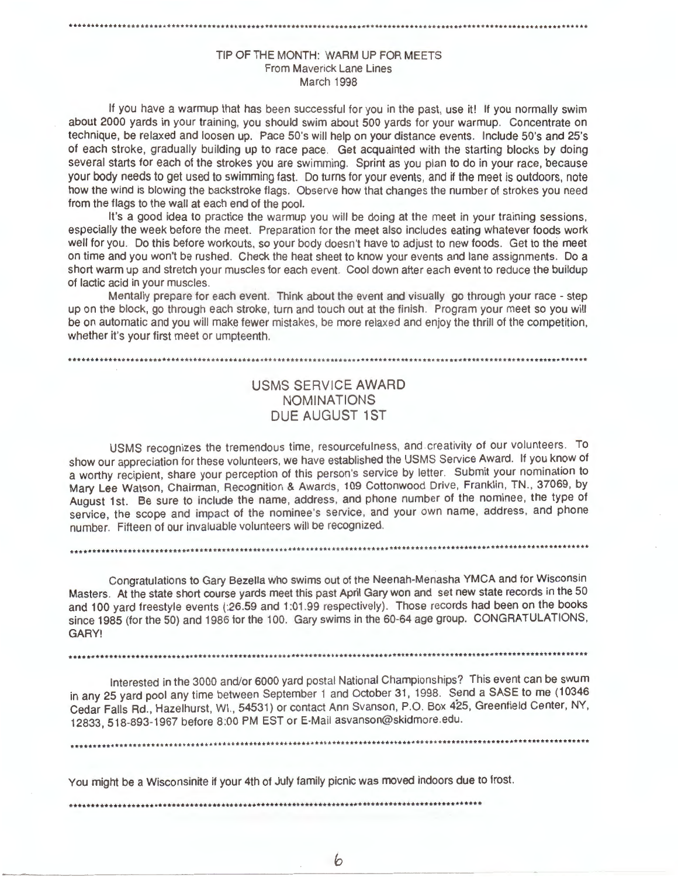# TIP OF THE MONTH: **WARM** UP FOR MEETS From Maverick Lane Lines March 1998

•••••••••••••••••••.......•...............•••.......•........•............•.•..........................••••..........

If you have a warmup that has been successful for you in the past, use it! If you normally swim about 2000 yards in your training, you should swim about 500 yards for your warmup. Concentrate on technique, be relaxed and loosen up. Pace 50's will help on your distance events. Include S0's and 25's of each stroke, gradually building up to race pace. Get acquainted with the starting blocks by doing several starts for each of the strokes you are swimming. Sprint as you plan to do in your race, because your body needs to get used to swimming fast. Do turns for your events, and if the meet is outdoors, note how the wind is blowing the backstroke flags. Observe how that changes the number of strokes you need from the flags to the wall at each end of the pool.

It's a good idea to practice the warmup you will be doing at the meet in your training sessions, especially the week before the meet. Preparation for the meet also includes eating whatever foods work well for you. Do this before workouts, so your body doesn't have to adjust to new foods. Get to the meet on time and you won't be rushed. Check the heat sheet to know your events and lane assignments. Do a short warm up and stretch your muscles for each event. Cool down after each event to reduce the buildup of lactic acid in your muscles.

Mentally prepare for each event. Think about the event and visually go through your race - step up on the block, go through each stroke, turn and touch out at the finish. Program your meet so you will be on automatic and you will make fewer mistakes, be more relaxed and enjoy the thrill of the competition, whether it's your first meet or umpteenth.

#### ••••••••••••••••••••••••....•••....•••••••..••.••••••.••.•.•.••......•...............................................

# USMS SERVICE AWARD NOMINATIONS DUE AUGUST 1ST

USMS recognizes the tremendous time, resourcefulness, and creativity of our volunteers. To show our appreciation for these volunteers, we have established the USMS Service Award. If you know of a worthy recipient, share your perception of this person's service by letter. Submit your nomination to Mary Lee Watson, Chairman, Recognition & Awards, 109 Cottonwood Drive, Franklin, TN., 37069, by August 1st. Be sure to include the name, address, and phone number of the nominee, the type of service, the scope and impact of the nominee's service, and your own name, address, and phone number. Fifteen of our invaluable volunteers will be recognized .

Congratulations to Gary Bezella who swims out of the Neenah-Menasha YMCA and for Wisconsin Masters. At the state short course yards meet this past April Gary won and set new state records in the 50 and 100 yard freestyle events (:26.59 and 1:01.99 respectively). Those records had been on the books since 1985 (for the 50) and 1986 for the 100. Gary swims in the 60-64 age group. CONGRATULATIONS, **GARY!** 

.•....••....•...........................•••..........................................................................

....••.............................................•.................................................................

Interested in the 3000 and/or 6000 yard postal National Championships? This event can be swum in any 25 yard pool any time between September 1 and October 31, 1998. Send a SASE to me ( 10346 Cedar Falls Rd., Hazelhurst, WI. , 54531) or contact Ann Svanson, P.O. Box 425, Greenfield Center, NY, 12833, 518-893-1967 before 8:00 PM EST or E-Mail asvanson@skidmore.edu .

......................................••••...•••...•••.....••••......................................................

You might be a Wisconsinite if your 4th of July family picnic was moved indoors due to frost.

•••••••••••••••••••••••••••••••••••••••••••••••••••••••••••••••••••••••••••••••••••••••••••••

b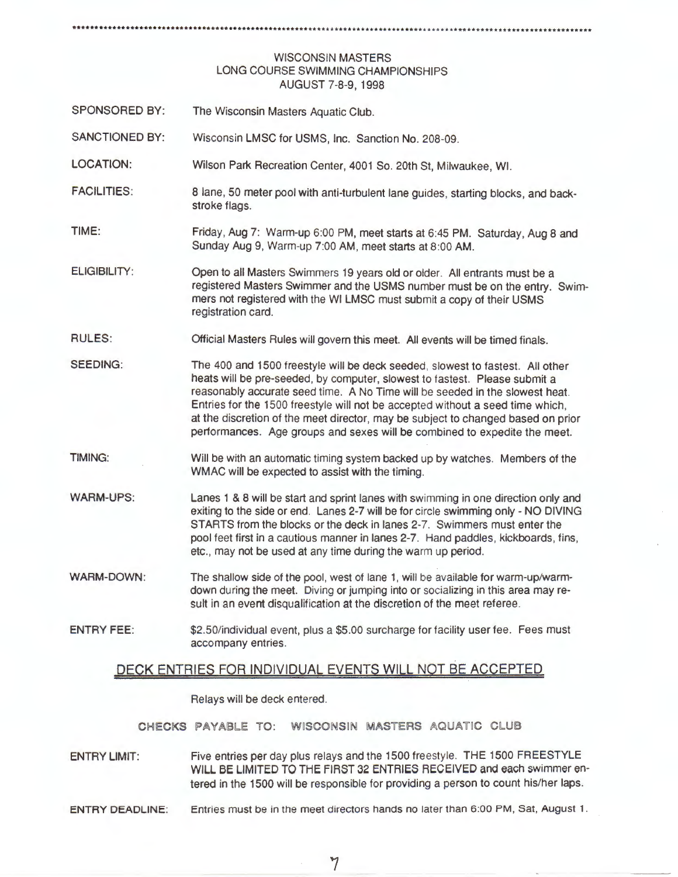# ·················································································•\*••································

# **WISCONSIN MASTERS**  LONG COURSE SWIMMING CHAMPIONSHIPS AUGUST 7-8-9, 1998

- SPONSORED BY: The Wisconsin Masters Aquatic Club.
- SANCTIONED BY: Wisconsin LMSC for USMS, Inc. Sanction No. 208-09.
- LOCATION: Wilson Park Recreation Center, 4001 So. 20th St, Milwaukee, WI.
- FACILITIES: 8 lane, 50 meter pool with anti-turbulent lane guides, starting blocks, and backstroke flags.
- TIME: Friday, Aug 7: Warm-up 6:00 PM, meet starts at 6:45 PM. Saturday, Aug 8 and Sunday Aug 9, Warm-up 7:00 **AM ,** meet starts at 8 :00 **AM .**
- ELIGIBILITY: Open to all Masters Swimmers 19 years old or older. All entrants must be a registered Masters Swimmer and the USMS number must be on the entry. Swimmers not registered with the WI LMSC must submit a copy of their USMS registration card.
- RULES: Official Masters Rules will govern this meet. All events will be timed finals.
- SEEDING: The 400 and 1500 freestyle will be deck seeded, slowest to fastest. All other heats will be pre-seeded, by computer, slowest to fastest. Please submit a reasonably accurate seed time. A No Time will be seeded in the slowest heat. Entries for the 1500 freestyle will not be accepted without a seed time which, at the discretion of the meet director, may be subject to changed based on prior performances. Age groups and sexes will be combined to expedite the meet.
- TIMING: Will be with an automatic timing system backed up by watches. Members of the WMAC will be expected to assist with the timing.
- WARM-UPS: Lanes 1 & 8 will be start and sprint lanes with swimming in one direction only and exiting to the side or end. Lanes 2-7 will be for circle swimming only - NO DIVING STARTS from the blocks or the deck in lanes 2-7. Swimmers must enter the pool feet first in a cautious manner in lanes 2-7. Hand paddles, kickboards , fins, etc., may not be used at any time during the warm up period.
- **WARM-DOWN :**  The shallow side of the pool, west of lane 1, will be available for warm-up/warmdown during the meet. Diving or jumping into or socializing in this area may result in an event disqualification at the discretion of the meet referee.
- ENTRY FEE: \$2.50/individual event, plus a \$5.00 surcharge for facility user fee. Fees must accompany entries.

# DECK ENTRIES FOR INDIVIDUAL EVENTS WILL NOT BE ACCEPTED

Relays will be deck entered.

CHECKS PAYABLE TO: WISCONSIN MASTERS AQUATIC CLUB

- ENTRY LIMIT: Five entries per day plus relays and the 1500 freestyle. THE 1500 FREESTYLE WILL BE LIMITED TO THE FIRST 32 ENTRIES RECEIVED and each swimmer entered in the 1500 will be responsible for providing a person to count his/her laps.
- ENTRY DEADLINE: Entries must be in the meet directors hands no later than 6:00 PM, Sat, August 1.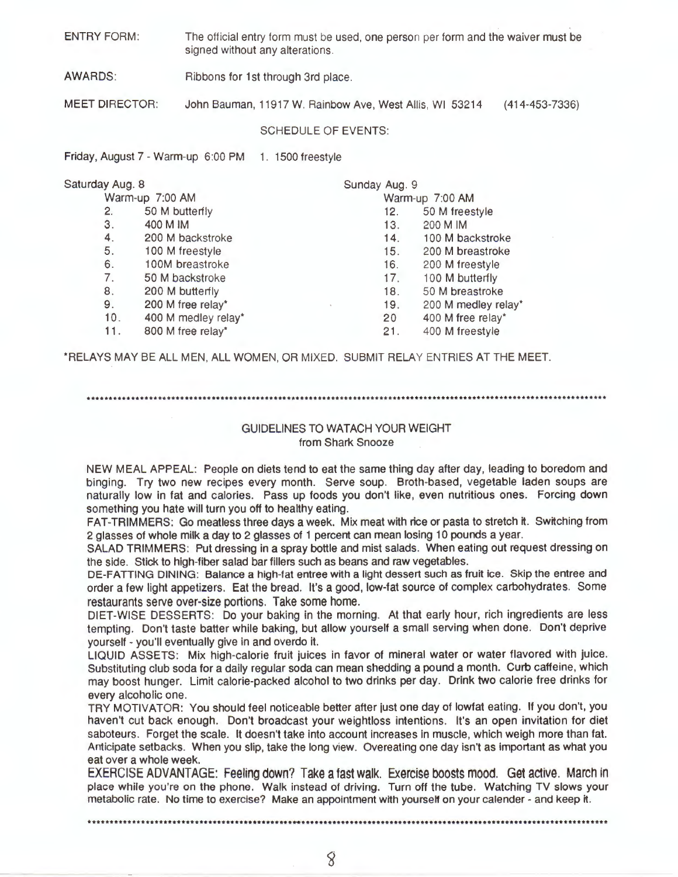ENTRY FORM: The official entry form must be used, one person per form and the waiver must be signed without any alterations.

AWARDS: Ribbons for 1st through 3rd place.

MEET DIRECTOR: John Bauman, 11917 W. Rainbow Ave, West Allis, WI 53214 ( 414-453-7336)

#### SCHEDULE OF EVENTS:

Friday, August 7 - Warm-up 6:00 PM 1. 1500 freestyle

| Saturday Aug. 8 |                     | Sunday Aug. 9   |                     |
|-----------------|---------------------|-----------------|---------------------|
|                 | Warm-up 7:00 AM     |                 | Warm-up 7:00 AM     |
| 2.              | 50 M butterfly      | 12.             | 50 M freestyle      |
| 3.              | 400 M IM            | 13.             | 200 M IM            |
| 4.              | 200 M backstroke    | 14.             | 100 M backstroke    |
| 5.              | 100 M freestyle     | 15.             | 200 M breastroke    |
| 6.              | 100M breastroke     | 16.             | 200 M freestyle     |
| 7.              | 50 M backstroke     | 17.             | 100 M butterfly     |
| 8.              | 200 M butterfly     | 18.             | 50 M breastroke     |
| 9.              | 200 M free relay*   | 19.             | 200 M medley relay* |
| 10.             | 400 M medley relay* | 20 <sub>2</sub> | 400 M free relay*   |
| 11.             | 800 M free relay*   | 21.             | 400 M freestyle     |
|                 |                     |                 |                     |

\*RELAYS MAY BE ALL MEN, ALL WOMEN, OR MIXED. SUBMIT RELAY ENTRIES AT THE MEET.

#### \*\*\*\*\*\*\*\*\*\*\*\*\*\*\*\*\*\*\*\*\*\*\*\*\*\*\*\*\*\*\*\*\*\*\*\*\*\*\*\*\*\*\*\*\*\*\*\*\*\*\*\*\*\*\*\*\*\*\*\*\*\*\*\*\*\*\*\*\*\*\*\*\*\*\*\*\*\*\*\*\*\*\*\*\*\*\*\*\*\*\*\*\*\*\*\*\*\*\*\*\*\*\*\*\*\*\*\*\*\*\*\*\*\*\*\*\*

# GUIDELINES TO WATACH YOUR WEIGHT from Shark Snooze

NEW MEAL APPEAL: People on diets tend to eat the same thing day after day, leading to boredom and binging. Try two new recipes every month. Serve soup. Broth-based, vegetable laden soups are naturally low in fat and calories. Pass up foods you don't like, even nutritious ones. Forcing down something you hate will turn you off to healthy eating.

FAT-TRIMMERS: Go meatless three days a week. Mix meat with rice or pasta to stretch it. Switching from 2 glasses of whole milk a day to 2 glasses of 1 percent can mean losing 10 pounds a year.

SALAD TRIMMERS: Put dressing in a spray bottle and mist salads. When eating out request dressing on the side. Stick to high-fiber salad bar fillers such as beans and raw vegetables.

DE-FATTING DINING: Balance a high-fat entree with a light dessert such as fruit ice. Skip the entree and order a few light appetizers. Eat the bread. It's a good, low-fat source of complex carbohydrates. Some restaurants serve over-size portions. Take some home.

DIET-WISE DESSERTS: Do your baking in the morning. At that early hour, rich ingredients are less tempting. Don't taste batter while baking, but allow yourself a small serving when done. Don't deprive yourself - you'll eventually give in and overdo it.

LIQUID ASSETS: Mix high-calorie fruit juices in favor of mineral water or water flavored with juice. Substituting club soda for a daily regular soda can mean shedding a pound a month. Curb caffeine, which may boost hunger. Limit calorie-packed alcohol to two drinks per day. Drink two calorie free drinks for every alcoholic one.

TRY MOTIVATOR: You should feel noticeable better after just one day of lowfat eating. If you don't, you haven't cut back enough. Don't broadcast your weightloss intentions. It's an open invitation for diet saboteurs. Forget the scale. It doesn't take into account increases in muscle, which weigh more than fat. Anticipate setbacks. When you slip, take the long view. Overeating one day isn't as important as what you eat over a whole week.

EXERCISE ADVANTAGE: Feeling down? Take a fast walk. Exercise boosts mood. Get active. Maren in place while you're on the phone. Walk instead of driving. Turn off the tube. Watching TV slows your metabolic rate. No time to exercise? Make an appointment with yourself on your calender - and keep it.

8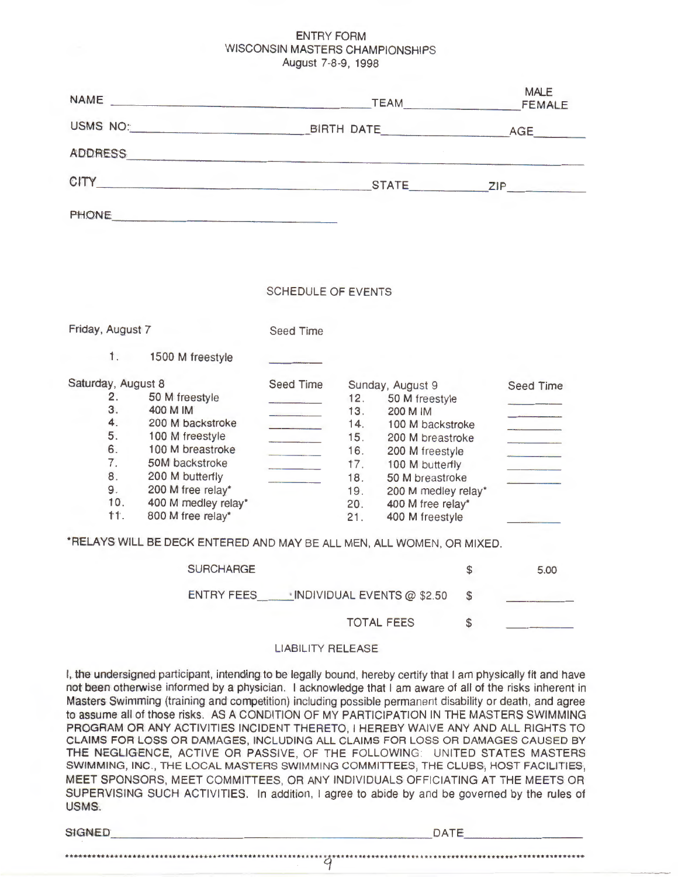# ENTRY FORM WISCONSIN MASTERS CHAMPIONSHIPS August 7-8-9, 1998

| <b>NAME</b>                                                                                                                                                                                                                                      | <b>TEAM</b>  | <b>MALE</b><br><b>FEMALE</b> |
|--------------------------------------------------------------------------------------------------------------------------------------------------------------------------------------------------------------------------------------------------|--------------|------------------------------|
| USMS NO:<br><u> La Carlo Carlo de la Carlo de la Carlo de la Carlo de la Carlo de la Carlo de la Carlo de la Carlo de la Carlo de la Carlo de la Carlo de la Carlo de la Carlo de la Carlo de la Carlo de la Carlo de la Carlo de la Carlo d</u> | BIRTH DATE   | AGE                          |
| <b>ADDRESS</b>                                                                                                                                                                                                                                   |              |                              |
| CITY                                                                                                                                                                                                                                             | <b>STATE</b> | ZIP                          |
| <b>PHONE</b>                                                                                                                                                                                                                                     |              |                              |

#### SCHEDULE OF EVENTS

| Friday, August 7   |     |                     | <b>Seed Time</b> |     |                     |           |
|--------------------|-----|---------------------|------------------|-----|---------------------|-----------|
|                    | 1.  | 1500 M freestyle    |                  |     |                     |           |
| Saturday, August 8 |     |                     | Seed Time        |     | Sunday, August 9    | Seed Time |
|                    | 2.  | 50 M freestyle      |                  | 12. | 50 M freestyle      |           |
|                    | 3.  | 400 M IM            |                  | 13. | 200 M IM            |           |
|                    | 4.  | 200 M backstroke    |                  | 14. | 100 M backstroke    |           |
|                    | 5.  | 100 M freestyle     |                  | 15. | 200 M breastroke    |           |
|                    | 6.  | 100 M breastroke    |                  | 16. | 200 M freestyle     |           |
|                    | 7.  | 50M backstroke      |                  | 17. | 100 M butterfly     |           |
|                    | 8.  | 200 M butterfly     |                  | 18. | 50 M breastroke     |           |
|                    | 9.  | 200 M free relay*   |                  | 19. | 200 M medley relay* |           |
|                    | 10. | 400 M medley relay* |                  | 20. | 400 M free relay*   |           |
|                    | 什1. | 800 M free relay*   |                  | 21. | 400 M freestyle     |           |

\*RELAYS WILL BE DECK ENTERED AND MAY BE ALL MEN, ALL WOMEN, OR MIXED.

| <b>SURCHARGE</b> |                            | 5.00 |
|------------------|----------------------------|------|
| ENTRY FEES       | INDIVIDUAL EVENTS @ \$2.50 |      |
|                  | <b>TOTAL FEES</b>          |      |
|                  |                            |      |

# LIABILITY RELEASE

I, the undersigned participant, intending to be legally bound, hereby certify that I am physically fit and have not been otherwise informed by a physician. I acknowledge that I am aware of all of the risks inherent in Masters Swimming (training and competition) including possible permanent disability or death, and agree to assume all of those risks. AS A CONDITION OF MY PARTICIPATION IN THE MASTERS SWIMMING PROGRAM OR ANY ACTIVITIES INCIDENT THERETO, I HEREBY WAIVE ANY AND ALL RIGHTS TO CLAIMS FOR LOSS OR DAMAGES, INCLUDING ALL CLAIMS FOR LOSS OR DAMAGES CAUSED BY THE NEGLIGENCE, ACTIVE OR PASSIVE, OF THE FOLLOWING: UNITED STATES MASTERS SWIMMING, INC., THE LOCAL MASTERS SWIMMING COMMITTEES, THE CLUBS, HOST FACILITIES, MEET SPONSORS, MEET COMMITTEES, OR ANY INDIVIDUALS OFFICIATING AT THE MEETS OR SUPERVISING SUCH ACTIVITIES. In addition, I agree to abide by and be governed by the rules of USMS.

| <b>SIGNED</b> | DATE<br>$\sim$ $\sim$ $\sim$ |
|---------------|------------------------------|

\*\*\*\* \*\*\*\*\*\*·\*\*\* •·••·· \*\*\* ••••••••••••• \*\*\* \* ••• \*\*\* \*\* \* \*\* \* \*\*\* \* \* \* \*\* ~··· •• \* ••••• \*\*\* \*\*\*\* ••• \*\* \* •• \* ••• •• \* ••• \*\* ••••• \*\* ••• \*\*\* \* \*\*\*\*\*